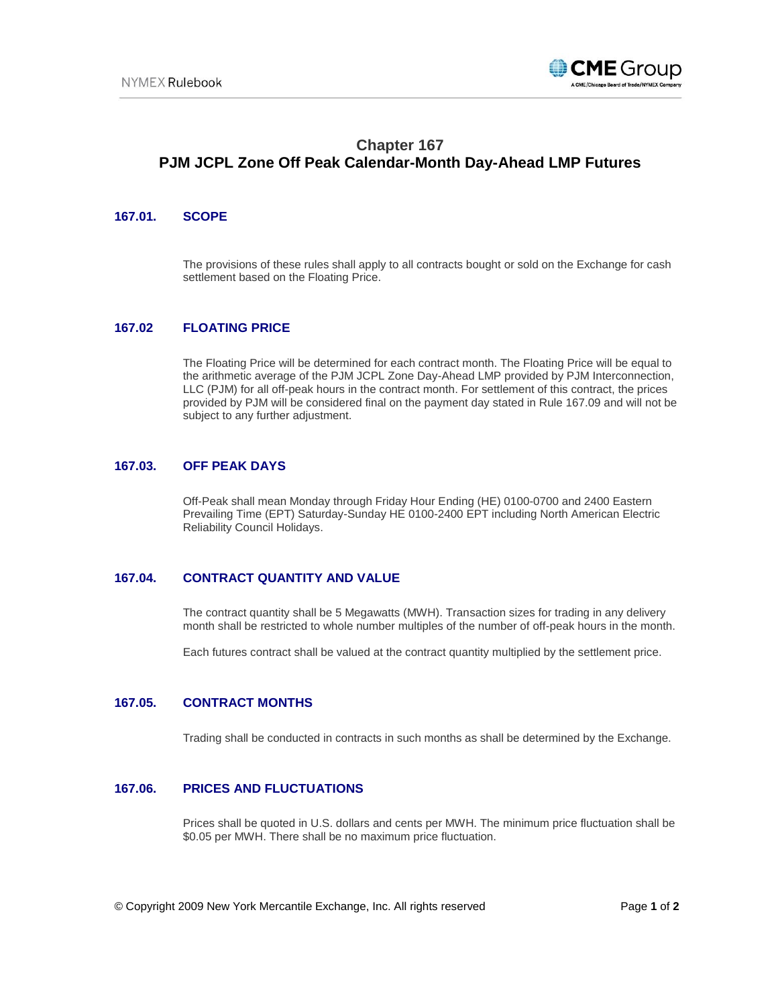

# **Chapter 167 PJM JCPL Zone Off Peak Calendar-Month Day-Ahead LMP Futures**

## **167.01. SCOPE**

The provisions of these rules shall apply to all contracts bought or sold on the Exchange for cash settlement based on the Floating Price.

## **167.02 FLOATING PRICE**

The Floating Price will be determined for each contract month. The Floating Price will be equal to the arithmetic average of the PJM JCPL Zone Day-Ahead LMP provided by PJM Interconnection, LLC (PJM) for all off-peak hours in the contract month. For settlement of this contract, the prices provided by PJM will be considered final on the payment day stated in Rule 167.09 and will not be subject to any further adjustment.

#### **167.03. OFF PEAK DAYS**

Off-Peak shall mean Monday through Friday Hour Ending (HE) 0100-0700 and 2400 Eastern Prevailing Time (EPT) Saturday-Sunday HE 0100-2400 EPT including North American Electric Reliability Council Holidays.

## **167.04. CONTRACT QUANTITY AND VALUE**

The contract quantity shall be 5 Megawatts (MWH). Transaction sizes for trading in any delivery month shall be restricted to whole number multiples of the number of off-peak hours in the month.

Each futures contract shall be valued at the contract quantity multiplied by the settlement price.

#### **167.05. CONTRACT MONTHS**

Trading shall be conducted in contracts in such months as shall be determined by the Exchange.

## **167.06. PRICES AND FLUCTUATIONS**

Prices shall be quoted in U.S. dollars and cents per MWH. The minimum price fluctuation shall be \$0.05 per MWH. There shall be no maximum price fluctuation.